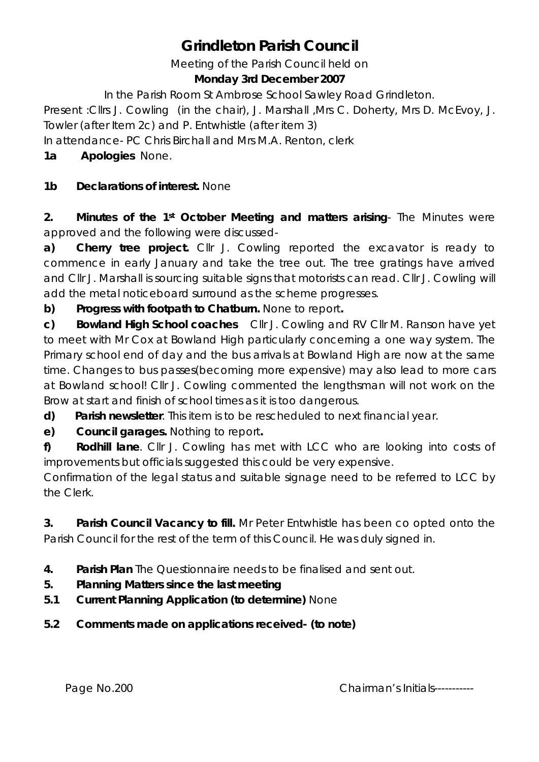# **Grindleton Parish Council**

Meeting of the Parish Council held on

#### **Monday 3rd December 2007**

In the Parish Room St Ambrose School Sawley Road Grindleton.

Present :Cllrs J. Cowling (in the chair), J. Marshall ,Mrs C. Doherty, Mrs D. McEvoy, J. Towler (after Item 2c) and P. Entwhistle (after item 3)

In attendance- PC Chris Birchall and Mrs M.A. Renton, clerk

## **1a Apologies** None.

## **1b Declarations of interest.** None

**2. Minutes of the 1st October Meeting and matters arising**- The Minutes were approved and the following were discussed-

**a) Cherry tree project.** Cllr J. Cowling reported the excavator is ready to commence in early January and take the tree out. The tree gratings have arrived and Cllr J. Marshall is sourcing suitable signs that motorists can read. Cllr J. Cowling will add the metal noticeboard surround as the scheme progresses.

**b) Progress with footpath to Chatburn.** None to report**.**

**c) Bowland High School coaches** Cllr J. Cowling and RV Cllr M. Ranson have yet to meet with Mr Cox at Bowland High particularly concerning a one way system. The Primary school end of day and the bus arrivals at Bowland High are now at the same time. Changes to bus passes(becoming more expensive) may also lead to more cars at Bowland school! Cllr J. Cowling commented the lengthsman will not work on the Brow at start and finish of school times as it is too dangerous.

**d) Parish newsletter**. This item is to be rescheduled to next financial year.

**e) Council garages.** Nothing to report**.**

**f) Rodhill lane**. Cllr J. Cowling has met with LCC who are looking into costs of improvements but officials suggested this could be very expensive.

Confirmation of the legal status and suitable signage need to be referred to LCC by the Clerk.

**3. Parish Council Vacancy to fill.** Mr Peter Entwhistle has been co opted onto the Parish Council for the rest of the term of this Council. He was duly signed in.

- **4. Parish Plan** The Questionnaire needs to be finalised and sent out.
- **5. Planning Matters since the last meeting**
- **5.1 Current Planning Application (to determine)** None
- **5.2 Comments made on applications received- (to note)**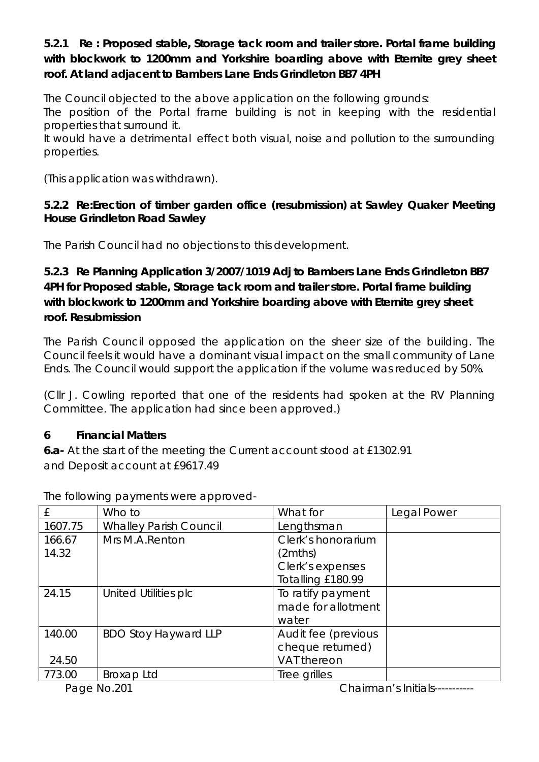#### **5.2.1 Re : Proposed stable, Storage tack room and trailer store. Portal frame building with blockwork to 1200mm and Yorkshire boarding above with Eternite grey sheet roof. At land adjacent to Bambers Lane Ends Grindleton BB7 4PH**

The Council objected to the above application on the following grounds:

The position of the Portal frame building is not in keeping with the residential properties that surround it.

It would have a detrimental effect both visual, noise and pollution to the surrounding properties.

(This application was withdrawn).

#### **5.2.2 Re:Erection of timber garden office (resubmission) at Sawley Quaker Meeting House Grindleton Road Sawley**

The Parish Council had no objections to this development.

## **5.2.3 Re Planning Application 3/2007/1019 Adj to Bambers Lane Ends Grindleton BB7 4PH for Proposed stable, Storage tack room and trailer store. Portal frame building with blockwork to 1200mm and Yorkshire boarding above with Eternite grey sheet roof. Resubmission**

The Parish Council opposed the application on the sheer size of the building. The Council feels it would have a dominant visual impact on the small community of Lane Ends. The Council would support the application if the volume was reduced by 50%.

(Cllr J. Cowling reported that one of the residents had spoken at the RV Planning Committee. The application had since been approved.)

#### **6 Financial Matters**

**6.a-** At the start of the meeting the Current account stood at £1302.91 and Deposit account at £9617.49

| Who to                        | What for            | Legal Power |
|-------------------------------|---------------------|-------------|
| <b>Whalley Parish Council</b> | Lengthsman          |             |
| Mrs M.A.Renton                | Clerk's honorarium  |             |
|                               | (2mths)             |             |
|                               | Clerk's expenses    |             |
|                               | Totalling £180.99   |             |
| United Utilities plc          | To ratify payment   |             |
|                               | made for allotment  |             |
|                               | water               |             |
| <b>BDO Stoy Hayward LLP</b>   | Audit fee (previous |             |
|                               | cheque returned)    |             |
|                               | VAT thereon         |             |
| Broxap Ltd                    | Tree grilles        |             |
|                               |                     |             |

The following payments were approved-

Page No.201 Chairman's Initials------------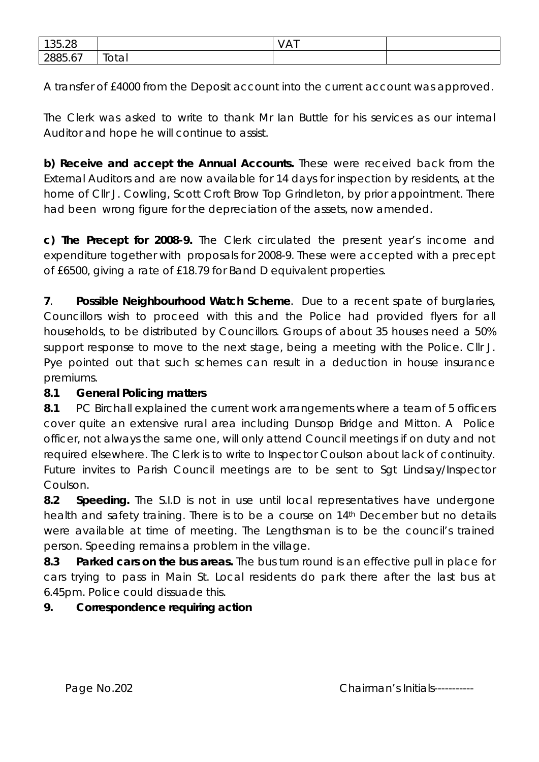| 1250<br>צי<br>くわ<br>JJ.ZU                                            |       | $\sim$<br>$V\cap V$ |  |
|----------------------------------------------------------------------|-------|---------------------|--|
| $\overline{\phantom{a}}$<br>$\cap$<br>'xxh<br>n<br>, , , , , ,<br>∠◡ | Total |                     |  |

A transfer of £4000 from the Deposit account into the current account was approved.

The Clerk was asked to write to thank Mr Ian Buttle for his services as our internal Auditor and hope he will continue to assist.

**b) Receive and accept the Annual Accounts.** These were received back from the External Auditors and are now available for 14 days for inspection by residents, at the home of Cllr J. Cowling, Scott Croft Brow Top Grindleton, by prior appointment. There had been wrong figure for the depreciation of the assets, now amended.

**c) The Precept for 2008-9.** The Clerk circulated the present year's income and expenditure together with proposals for 2008-9. These were accepted with a precept of £6500, giving a rate of £18.79 for Band D equivalent properties.

**7**. **Possible Neighbourhood Watch Scheme**. Due to a recent spate of burglaries, Councillors wish to proceed with this and the Police had provided flyers for all households, to be distributed by Councillors. Groups of about 35 houses need a 50% support response to move to the next stage, being a meeting with the Police. Cllr J. Pye pointed out that such schemes can result in a deduction in house insurance premiums.

## **8.1 General Policing matters**

**8.1** PC Birchall explained the current work arrangements where a team of 5 officers cover quite an extensive rural area including Dunsop Bridge and Mitton. A Police officer, not always the same one, will only attend Council meetings if on duty and not required elsewhere. The Clerk is to write to Inspector Coulson about lack of continuity. Future invites to Parish Council meetings are to be sent to Sgt Lindsay/Inspector Coulson.

**8.2 Speeding.** The S.I.D is not in use until local representatives have undergone health and safety training. There is to be a course on 14<sup>th</sup> December but no details were available at time of meeting. The Lengthsman is to be the council's trained person. Speeding remains a problem in the village.

**8.3 Parked cars on the bus areas.** The bus turn round is an effective pull in place for cars trying to pass in Main St. Local residents do park there after the last bus at 6.45pm. Police could dissuade this.

#### **9. Correspondence requiring action**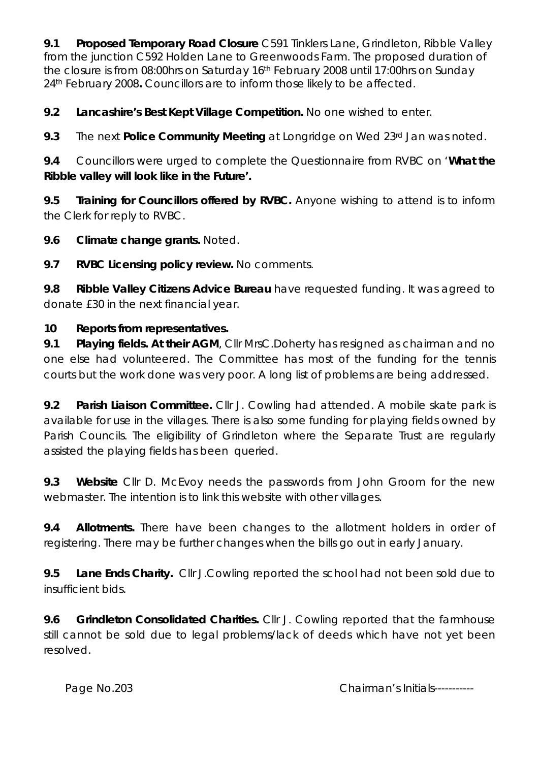**9.1 Proposed Temporary Road Closure** C591 Tinklers Lane, Grindleton, Ribble Valley from the junction C592 Holden Lane to Greenwoods Farm. The proposed duration of the closure is from 08:00hrs on Saturday 16th February 2008 until 17:00hrs on Sunday 24th February 2008**.** Councillors are to inform those likely to be affected.

**9.2 Lancashire's Best Kept Village Competition.** No one wished to enter.

**9.3** The next **Police Community Meeting** at Longridge on Wed 23rd Jan was noted.

**9.4** Councillors were urged to complete the Questionnaire from RVBC on '**What the Ribble valley will look like in the Future'.** 

**9.5 Training for Councillors offered by RVBC.** Anyone wishing to attend is to inform the Clerk for reply to RVBC.

**9.6 Climate change grants.** Noted.

**9.7 RVBC Licensing policy review.** No comments.

**9.8 Ribble Valley Citizens Advice Bureau** have requested funding. It was agreed to donate £30 in the next financial year.

## **10 Reports from representatives.**

**9.1 Playing fields. At their AGM**, Cllr MrsC.Doherty has resigned as chairman and no one else had volunteered. The Committee has most of the funding for the tennis courts but the work done was very poor. A long list of problems are being addressed.

**9.2 Parish Liaison Committee.** Cllr J. Cowling had attended. A mobile skate park is available for use in the villages. There is also some funding for playing fields owned by Parish Councils. The eligibility of Grindleton where the Separate Trust are regularly assisted the playing fields has been queried.

**9.3 Website** Cllr D. McEvoy needs the passwords from John Groom for the new webmaster. The intention is to link this website with other villages.

**9.4 Allotments.** There have been changes to the allotment holders in order of registering. There may be further changes when the bills go out in early January.

**9.5 Lane Ends Charity.** Cllr J.Cowling reported the school had not been sold due to insufficient bids.

**9.6 Grindleton Consolidated Charities.** Cllr J. Cowling reported that the farmhouse still cannot be sold due to legal problems/lack of deeds which have not yet been resolved.